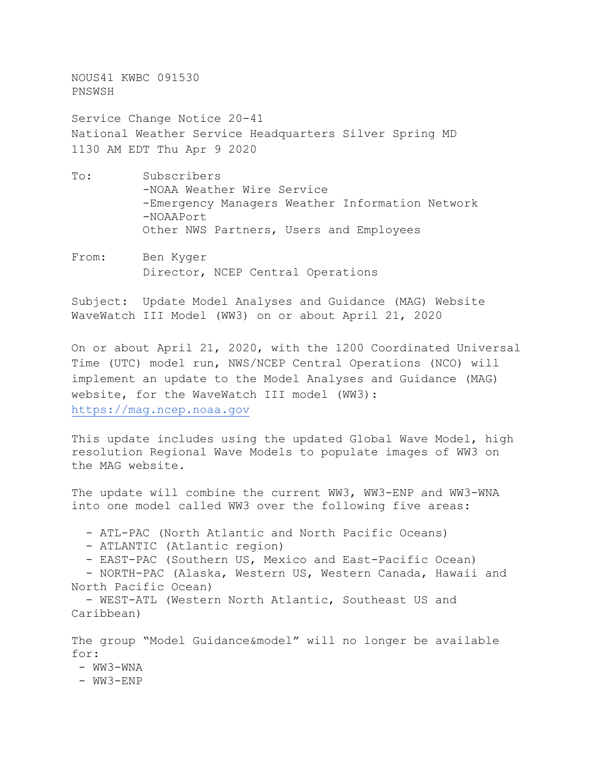NOUS41 KWBC 091530 PNSWSH

Service Change Notice 20-41 National Weather Service Headquarters Silver Spring MD 1130 AM EDT Thu Apr 9 2020

- To: Subscribers -NOAA Weather Wire Service -Emergency Managers Weather Information Network -NOAAPort Other NWS Partners, Users and Employees
- From: Ben Kyger Director, NCEP Central Operations

Subject: Update Model Analyses and Guidance (MAG) Website WaveWatch III Model (WW3) on or about April 21, 2020

On or about April 21, 2020, with the 1200 Coordinated Universal Time (UTC) model run, NWS/NCEP Central Operations (NCO) will implement an update to the Model Analyses and Guidance (MAG) website, for the WaveWatch III model (WW3): [https://mag.ncep.noaa.gov](https://mag.ncep.noaa.gov/) 

This update includes using the updated Global Wave Model, high resolution Regional Wave Models to populate images of WW3 on the MAG website.

The update will combine the current WW3, WW3-ENP and WW3-WNA into one model called WW3 over the following five areas:

- ATL-PAC (North Atlantic and North Pacific Oceans)

- ATLANTIC (Atlantic region)

- EAST-PAC (Southern US, Mexico and East-Pacific Ocean)

- NORTH-PAC (Alaska, Western US, Western Canada, Hawaii and North Pacific Ocean)

- WEST-ATL (Western North Atlantic, Southeast US and Caribbean)

The group "Model Guidance&model" will no longer be available for:

- WW3-WNA

- WW3-ENP